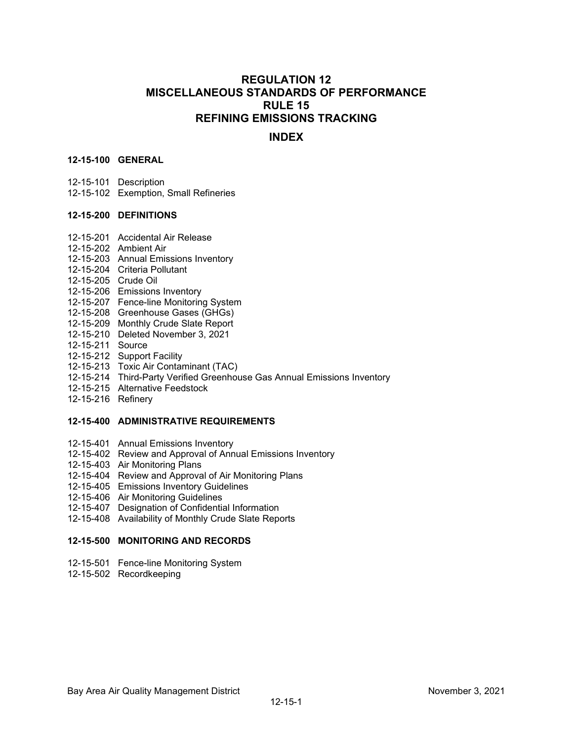# **REGULATION 12 MISCELLANEOUS STANDARDS OF PERFORMANCE RULE 15 REFINING EMISSIONS TRACKING**

# **INDEX**

# **12-15-100 GENERAL**

- 12-15-101 Description
- 12-15-102 Exemption, Small Refineries

## **12-15-200 DEFINITIONS**

- 12-15-201 Accidental Air Release
- 12-15-202 Ambient Air
- 12-15-203 Annual Emissions Inventory
- 12-15-204 Criteria Pollutant
- 12-15-205 Crude Oil
- 12-15-206 Emissions Inventory
- 12-15-207 Fence-line Monitoring System
- 12-15-208 Greenhouse Gases (GHGs)
- 12-15-209 Monthly Crude Slate Report
- 12-15-210 Deleted November 3, 2021
- 12-15-211 Source
- 12-15-212 Support Facility
- 12-15-213 Toxic Air Contaminant (TAC)
- 12-15-214 Third-Party Verified Greenhouse Gas Annual Emissions Inventory
- 12-15-215 Alternative Feedstock
- 12-15-216 Refinery

### **12-15-400 ADMINISTRATIVE REQUIREMENTS**

- 12-15-401 Annual Emissions Inventory
- 12-15-402 Review and Approval of Annual Emissions Inventory
- 12-15-403 Air Monitoring Plans
- 12-15-404 Review and Approval of Air Monitoring Plans
- 12-15-405 Emissions Inventory Guidelines
- 12-15-406 Air Monitoring Guidelines
- 12-15-407 Designation of Confidential Information
- 12-15-408 Availability of Monthly Crude Slate Reports

## **12-15-500 MONITORING AND RECORDS**

- 12-15-501 Fence-line Monitoring System
- 12-15-502 Recordkeeping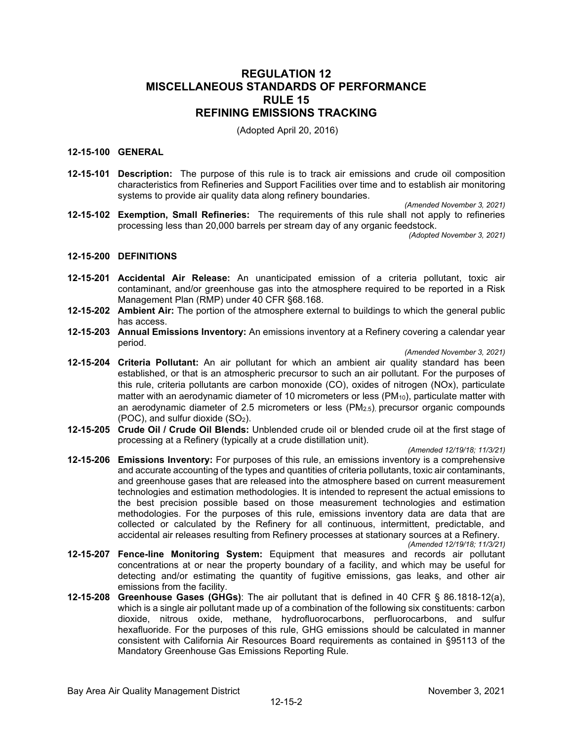# **REGULATION 12 MISCELLANEOUS STANDARDS OF PERFORMANCE RULE 15 REFINING EMISSIONS TRACKING**

(Adopted April 20, 2016)

# **12-15-100 GENERAL**

**12-15-101 Description:** The purpose of this rule is to track air emissions and crude oil composition characteristics from Refineries and Support Facilities over time and to establish air monitoring systems to provide air quality data along refinery boundaries.

*(Amended November 3, 2021)*

**12-15-102 Exemption, Small Refineries:** The requirements of this rule shall not apply to refineries processing less than 20,000 barrels per stream day of any organic feedstock.

*(Adopted November 3, 2021)*

#### **12-15-200 DEFINITIONS**

- **12-15-201 Accidental Air Release:** An unanticipated emission of a criteria pollutant, toxic air contaminant, and/or greenhouse gas into the atmosphere required to be reported in a Risk Management Plan (RMP) under 40 CFR §68.168.
- **12-15-202 Ambient Air:** The portion of the atmosphere external to buildings to which the general public has access.
- **12-15-203 Annual Emissions Inventory:** An emissions inventory at a Refinery covering a calendar year period.

*(Amended November 3, 2021)*

- **12-15-204 Criteria Pollutant:** An air pollutant for which an ambient air quality standard has been established, or that is an atmospheric precursor to such an air pollutant. For the purposes of this rule, criteria pollutants are carbon monoxide (CO), oxides of nitrogen (NOx), particulate matter with an aerodynamic diameter of 10 micrometers or less ( $PM_{10}$ ), particulate matter with an aerodynamic diameter of 2.5 micrometers or less  $(PM_{2.5})$ , precursor organic compounds (POC), and sulfur dioxide  $(SO<sub>2</sub>)$ .
- **12-15-205 Crude Oil / Crude Oil Blends:** Unblended crude oil or blended crude oil at the first stage of processing at a Refinery (typically at a crude distillation unit).

*(Amended 12/19/18; 11/3/21)*

**12-15-206 Emissions Inventory:** For purposes of this rule, an emissions inventory is a comprehensive and accurate accounting of the types and quantities of criteria pollutants, toxic air contaminants, and greenhouse gases that are released into the atmosphere based on current measurement technologies and estimation methodologies. It is intended to represent the actual emissions to the best precision possible based on those measurement technologies and estimation methodologies. For the purposes of this rule, emissions inventory data are data that are collected or calculated by the Refinery for all continuous, intermittent, predictable, and accidental air releases resulting from Refinery processes at stationary sources at a Refinery.

*(Amended 12/19/18; 11/3/21)*

- **12-15-207 Fence-line Monitoring System:** Equipment that measures and records air pollutant concentrations at or near the property boundary of a facility, and which may be useful for detecting and/or estimating the quantity of fugitive emissions, gas leaks, and other air emissions from the facility.
- **12-15-208 Greenhouse Gases (GHGs)**: The air pollutant that is defined in 40 CFR § 86.1818-12(a), which is a single air pollutant made up of a combination of the following six constituents: carbon dioxide, nitrous oxide, methane, hydrofluorocarbons, perfluorocarbons, and sulfur hexafluoride. For the purposes of this rule, GHG emissions should be calculated in manner consistent with California Air Resources Board requirements as contained in §95113 of the Mandatory Greenhouse Gas Emissions Reporting Rule.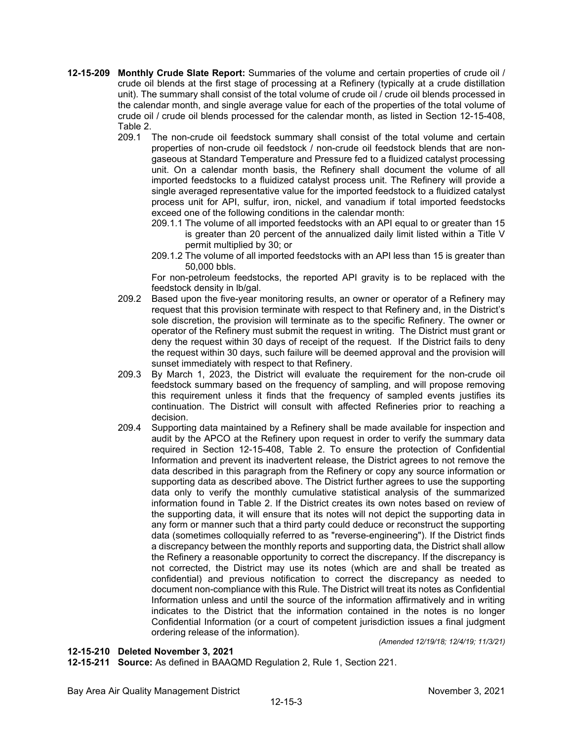- **12-15-209 Monthly Crude Slate Report:** Summaries of the volume and certain properties of crude oil / crude oil blends at the first stage of processing at a Refinery (typically at a crude distillation unit). The summary shall consist of the total volume of crude oil / crude oil blends processed in the calendar month, and single average value for each of the properties of the total volume of crude oil / crude oil blends processed for the calendar month, as listed in Section 12-15-408, Table 2.
	- 209.1 The non-crude oil feedstock summary shall consist of the total volume and certain properties of non-crude oil feedstock / non-crude oil feedstock blends that are nongaseous at Standard Temperature and Pressure fed to a fluidized catalyst processing unit. On a calendar month basis, the Refinery shall document the volume of all imported feedstocks to a fluidized catalyst process unit. The Refinery will provide a single averaged representative value for the imported feedstock to a fluidized catalyst process unit for API, sulfur, iron, nickel, and vanadium if total imported feedstocks exceed one of the following conditions in the calendar month:
		- 209.1.1 The volume of all imported feedstocks with an API equal to or greater than 15 is greater than 20 percent of the annualized daily limit listed within a Title V permit multiplied by 30; or
		- 209.1.2 The volume of all imported feedstocks with an API less than 15 is greater than 50,000 bbls.

For non-petroleum feedstocks, the reported API gravity is to be replaced with the feedstock density in lb/gal.

- 209.2 Based upon the five-year monitoring results, an owner or operator of a Refinery may request that this provision terminate with respect to that Refinery and, in the District's sole discretion, the provision will terminate as to the specific Refinery. The owner or operator of the Refinery must submit the request in writing. The District must grant or deny the request within 30 days of receipt of the request. If the District fails to deny the request within 30 days, such failure will be deemed approval and the provision will sunset immediately with respect to that Refinery.
- 209.3 By March 1, 2023, the District will evaluate the requirement for the non-crude oil feedstock summary based on the frequency of sampling, and will propose removing this requirement unless it finds that the frequency of sampled events justifies its continuation. The District will consult with affected Refineries prior to reaching a decision.
- 209.4 Supporting data maintained by a Refinery shall be made available for inspection and audit by the APCO at the Refinery upon request in order to verify the summary data required in Section 12-15-408, Table 2. To ensure the protection of Confidential Information and prevent its inadvertent release, the District agrees to not remove the data described in this paragraph from the Refinery or copy any source information or supporting data as described above. The District further agrees to use the supporting data only to verify the monthly cumulative statistical analysis of the summarized information found in Table 2. If the District creates its own notes based on review of the supporting data, it will ensure that its notes will not depict the supporting data in any form or manner such that a third party could deduce or reconstruct the supporting data (sometimes colloquially referred to as "reverse-engineering"). If the District finds a discrepancy between the monthly reports and supporting data, the District shall allow the Refinery a reasonable opportunity to correct the discrepancy. If the discrepancy is not corrected, the District may use its notes (which are and shall be treated as confidential) and previous notification to correct the discrepancy as needed to document non-compliance with this Rule. The District will treat its notes as Confidential Information unless and until the source of the information affirmatively and in writing indicates to the District that the information contained in the notes is no longer Confidential Information (or a court of competent jurisdiction issues a final judgment ordering release of the information).

*(Amended 12/19/18; 12/4/19; 11/3/21)*

### **12-15-210 Deleted November 3, 2021**

**12-15-211 Source:** As defined in BAAQMD Regulation 2, Rule 1, Section 221.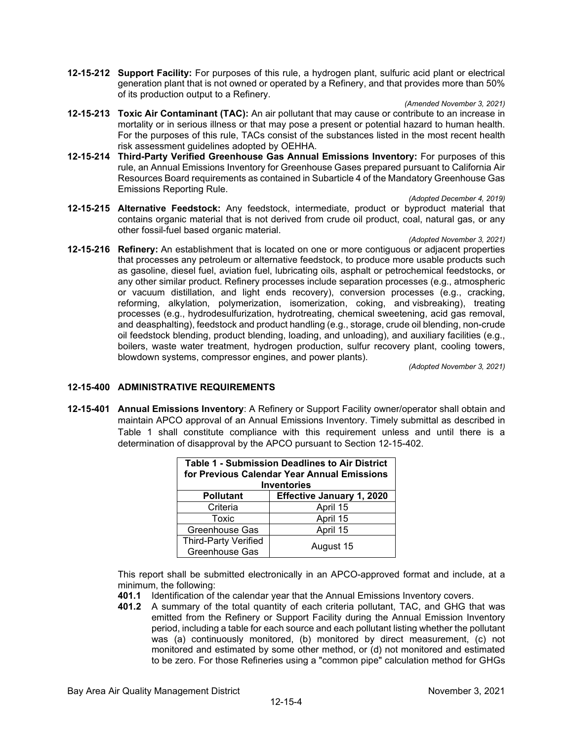**12-15-212 Support Facility:** For purposes of this rule, a hydrogen plant, sulfuric acid plant or electrical generation plant that is not owned or operated by a Refinery, and that provides more than 50% of its production output to a Refinery.

*(Amended November 3, 2021)*

- **12-15-213 Toxic Air Contaminant (TAC):** An air pollutant that may cause or contribute to an increase in mortality or in serious illness or that may pose a present or potential hazard to human health. For the purposes of this rule, TACs consist of the substances listed in the most recent health risk assessment guidelines adopted by OEHHA.
- **12-15-214 Third-Party Verified Greenhouse Gas Annual Emissions Inventory:** For purposes of this rule, an Annual Emissions Inventory for Greenhouse Gases prepared pursuant to California Air Resources Board requirements as contained in Subarticle 4 of the Mandatory Greenhouse Gas Emissions Reporting Rule.

*(Adopted December 4, 2019)*

- **12-15-215 Alternative Feedstock:** Any feedstock, intermediate, product or byproduct material that contains organic material that is not derived from crude oil product, coal, natural gas, or any other fossil-fuel based organic material.
- *(Adopted November 3, 2021)* **12-15-216 Refinery:** An establishment that is located on one or more contiguous or adjacent properties that processes any petroleum or alternative feedstock, to produce more usable products such as gasoline, diesel fuel, aviation fuel, lubricating oils, asphalt or petrochemical feedstocks, or any other similar product. Refinery processes include separation processes (e.g., atmospheric or vacuum distillation, and light ends recovery), conversion processes (e.g., cracking, reforming, alkylation, polymerization, isomerization, coking, and visbreaking), treating processes (e.g., hydrodesulfurization, hydrotreating, chemical sweetening, acid gas removal, and deasphalting), feedstock and product handling (e.g., storage, crude oil blending, non-crude oil feedstock blending, product blending, loading, and unloading), and auxiliary facilities (e.g., boilers, waste water treatment, hydrogen production, sulfur recovery plant, cooling towers, blowdown systems, compressor engines, and power plants).

*(Adopted November 3, 2021)*

# **12-15-400 ADMINISTRATIVE REQUIREMENTS**

**12-15-401 Annual Emissions Inventory**: A Refinery or Support Facility owner/operator shall obtain and maintain APCO approval of an Annual Emissions Inventory. Timely submittal as described in Table 1 shall constitute compliance with this requirement unless and until there is a determination of disapproval by the APCO pursuant to Section 12-15-402.

| <b>Table 1 - Submission Deadlines to Air District</b><br>for Previous Calendar Year Annual Emissions<br><b>Inventories</b> |                                  |
|----------------------------------------------------------------------------------------------------------------------------|----------------------------------|
| <b>Pollutant</b>                                                                                                           | <b>Effective January 1, 2020</b> |
| Criteria                                                                                                                   | April 15                         |
| Toxic                                                                                                                      | April 15                         |
| Greenhouse Gas                                                                                                             | April 15                         |
| Third-Party Verified<br>Greenhouse Gas                                                                                     | August 15                        |

This report shall be submitted electronically in an APCO-approved format and include, at a minimum, the following:

- **401.1** Identification of the calendar year that the Annual Emissions Inventory covers.
- **401.2** A summary of the total quantity of each criteria pollutant, TAC, and GHG that was emitted from the Refinery or Support Facility during the Annual Emission Inventory period, including a table for each source and each pollutant listing whether the pollutant was (a) continuously monitored, (b) monitored by direct measurement, (c) not monitored and estimated by some other method, or (d) not monitored and estimated to be zero. For those Refineries using a "common pipe" calculation method for GHGs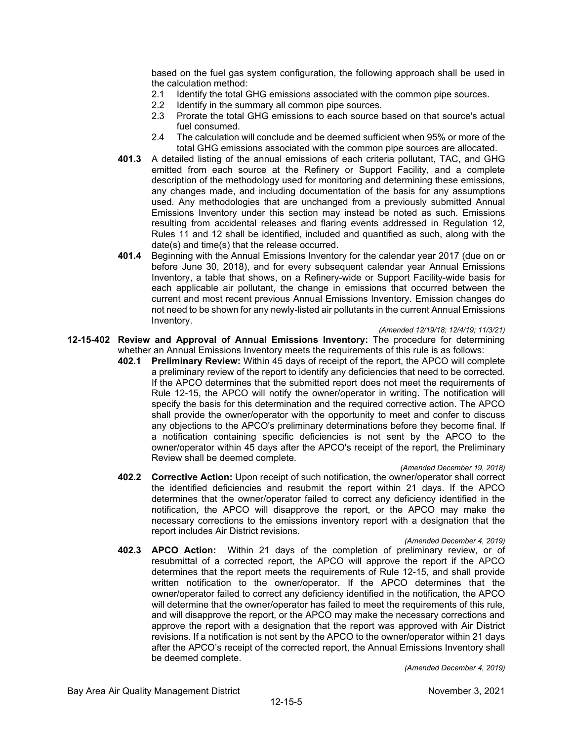based on the fuel gas system configuration, the following approach shall be used in the calculation method:

- 2.1 Identify the total GHG emissions associated with the common pipe sources.<br>2.2 Identify in the summary all common pipe sources.
- Identify in the summary all common pipe sources.
- 2.3 Prorate the total GHG emissions to each source based on that source's actual fuel consumed.
- 2.4 The calculation will conclude and be deemed sufficient when 95% or more of the total GHG emissions associated with the common pipe sources are allocated.
- **401.3** A detailed listing of the annual emissions of each criteria pollutant, TAC, and GHG emitted from each source at the Refinery or Support Facility, and a complete description of the methodology used for monitoring and determining these emissions, any changes made, and including documentation of the basis for any assumptions used. Any methodologies that are unchanged from a previously submitted Annual Emissions Inventory under this section may instead be noted as such. Emissions resulting from accidental releases and flaring events addressed in Regulation 12, Rules 11 and 12 shall be identified, included and quantified as such, along with the date(s) and time(s) that the release occurred.
- **401.4** Beginning with the Annual Emissions Inventory for the calendar year 2017 (due on or before June 30, 2018), and for every subsequent calendar year Annual Emissions Inventory, a table that shows, on a Refinery-wide or Support Facility-wide basis for each applicable air pollutant, the change in emissions that occurred between the current and most recent previous Annual Emissions Inventory. Emission changes do not need to be shown for any newly-listed air pollutants in the current Annual Emissions Inventory.

### *(Amended 12/19/18; 12/4/19; 11/3/21)*

- **12-15-402 Review and Approval of Annual Emissions Inventory:** The procedure for determining whether an Annual Emissions Inventory meets the requirements of this rule is as follows:
	- **402.1 Preliminary Review:** Within 45 days of receipt of the report, the APCO will complete a preliminary review of the report to identify any deficiencies that need to be corrected. If the APCO determines that the submitted report does not meet the requirements of Rule 12-15, the APCO will notify the owner/operator in writing. The notification will specify the basis for this determination and the required corrective action. The APCO shall provide the owner/operator with the opportunity to meet and confer to discuss any objections to the APCO's preliminary determinations before they become final. If a notification containing specific deficiencies is not sent by the APCO to the owner/operator within 45 days after the APCO's receipt of the report, the Preliminary Review shall be deemed complete.

#### *(Amended December 19, 2018)*

**402.2 Corrective Action:** Upon receipt of such notification, the owner/operator shall correct the identified deficiencies and resubmit the report within 21 days. If the APCO determines that the owner/operator failed to correct any deficiency identified in the notification, the APCO will disapprove the report, or the APCO may make the necessary corrections to the emissions inventory report with a designation that the report includes Air District revisions.

#### *(Amended December 4, 2019)*

**402.3 APCO Action:** Within 21 days of the completion of preliminary review, or of resubmittal of a corrected report, the APCO will approve the report if the APCO determines that the report meets the requirements of Rule 12-15, and shall provide written notification to the owner/operator. If the APCO determines that the owner/operator failed to correct any deficiency identified in the notification, the APCO will determine that the owner/operator has failed to meet the requirements of this rule, and will disapprove the report, or the APCO may make the necessary corrections and approve the report with a designation that the report was approved with Air District revisions. If a notification is not sent by the APCO to the owner/operator within 21 days after the APCO's receipt of the corrected report, the Annual Emissions Inventory shall be deemed complete.

*(Amended December 4, 2019)*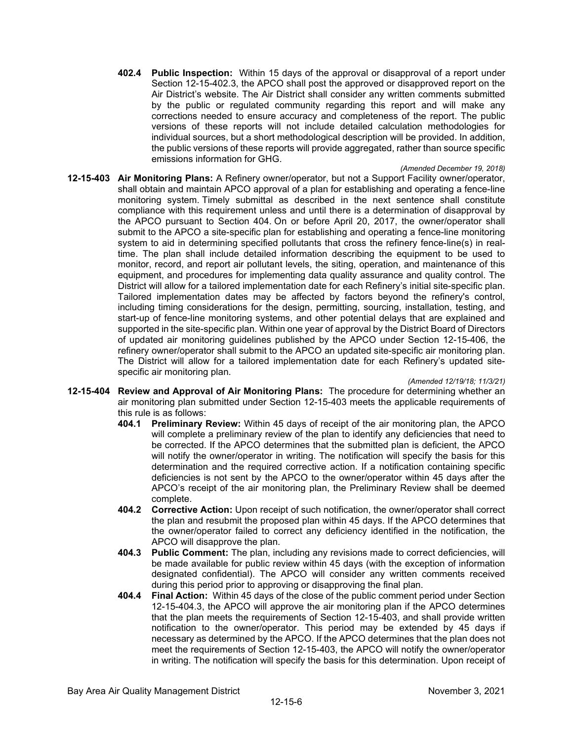**402.4 Public Inspection:** Within 15 days of the approval or disapproval of a report under Section 12-15-402.3, the APCO shall post the approved or disapproved report on the Air District's website. The Air District shall consider any written comments submitted by the public or regulated community regarding this report and will make any corrections needed to ensure accuracy and completeness of the report. The public versions of these reports will not include detailed calculation methodologies for individual sources, but a short methodological description will be provided. In addition, the public versions of these reports will provide aggregated, rather than source specific emissions information for GHG.

*(Amended December 19, 2018)*

**12-15-403 Air Monitoring Plans:** A Refinery owner/operator, but not a Support Facility owner/operator, shall obtain and maintain APCO approval of a plan for establishing and operating a fence-line monitoring system. Timely submittal as described in the next sentence shall constitute compliance with this requirement unless and until there is a determination of disapproval by the APCO pursuant to Section 404. On or before April 20, 2017, the owner/operator shall submit to the APCO a site-specific plan for establishing and operating a fence-line monitoring system to aid in determining specified pollutants that cross the refinery fence-line(s) in realtime. The plan shall include detailed information describing the equipment to be used to monitor, record, and report air pollutant levels, the siting, operation, and maintenance of this equipment, and procedures for implementing data quality assurance and quality control. The District will allow for a tailored implementation date for each Refinery's initial site-specific plan. Tailored implementation dates may be affected by factors beyond the refinery's control, including timing considerations for the design, permitting, sourcing, installation, testing, and start-up of fence-line monitoring systems, and other potential delays that are explained and supported in the site-specific plan. Within one year of approval by the District Board of Directors of updated air monitoring guidelines published by the APCO under Section 12-15-406, the refinery owner/operator shall submit to the APCO an updated site-specific air monitoring plan. The District will allow for a tailored implementation date for each Refinery's updated sitespecific air monitoring plan.

*(Amended 12/19/18; 11/3/21)*

- **12-15-404 Review and Approval of Air Monitoring Plans:** The procedure for determining whether an air monitoring plan submitted under Section 12-15-403 meets the applicable requirements of this rule is as follows:
	- **404.1 Preliminary Review:** Within 45 days of receipt of the air monitoring plan, the APCO will complete a preliminary review of the plan to identify any deficiencies that need to be corrected. If the APCO determines that the submitted plan is deficient, the APCO will notify the owner/operator in writing. The notification will specify the basis for this determination and the required corrective action. If a notification containing specific deficiencies is not sent by the APCO to the owner/operator within 45 days after the APCO's receipt of the air monitoring plan, the Preliminary Review shall be deemed complete.
	- **404.2 Corrective Action:** Upon receipt of such notification, the owner/operator shall correct the plan and resubmit the proposed plan within 45 days. If the APCO determines that the owner/operator failed to correct any deficiency identified in the notification, the APCO will disapprove the plan.
	- **404.3 Public Comment:** The plan, including any revisions made to correct deficiencies, will be made available for public review within 45 days (with the exception of information designated confidential). The APCO will consider any written comments received during this period prior to approving or disapproving the final plan.
	- **404.4 Final Action:** Within 45 days of the close of the public comment period under Section 12-15-404.3, the APCO will approve the air monitoring plan if the APCO determines that the plan meets the requirements of Section 12-15-403, and shall provide written notification to the owner/operator. This period may be extended by 45 days if necessary as determined by the APCO. If the APCO determines that the plan does not meet the requirements of Section 12-15-403, the APCO will notify the owner/operator in writing. The notification will specify the basis for this determination. Upon receipt of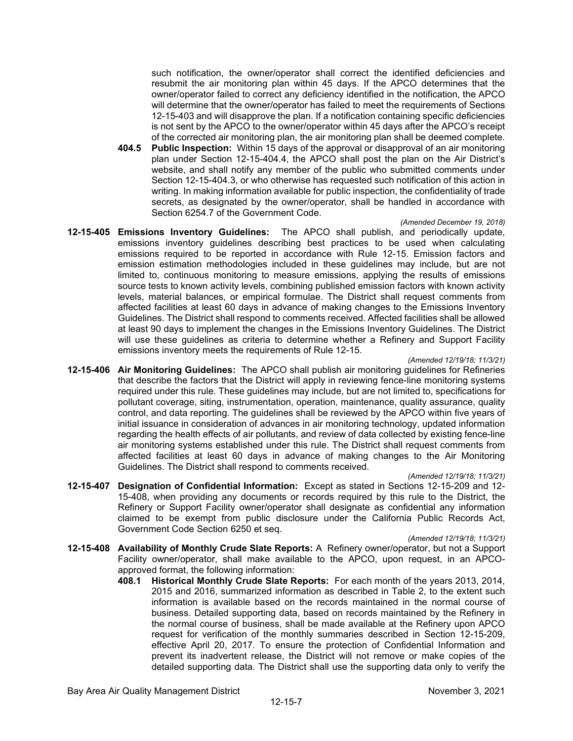such notification, the owner/operator shall correct the identified deficiencies and resubmit the air monitoring plan within 45 days. If the APCO determines that the owner/operator failed to correct any deficiency identified in the notification, the APCO will determine that the owner/operator has failed to meet the requirements of Sections 12-15-403 and will disapprove the plan. If a notification containing specific deficiencies is not sent by the APCO to the owner/operator within 45 days after the APCO's receipt of the corrected air monitoring plan, the air monitoring plan shall be deemed complete.

- **404.5 Public Inspection:** Within 15 days of the approval or disapproval of an air monitoring plan under Section 12-15-404.4, the APCO shall post the plan on the Air District's website, and shall notify any member of the public who submitted comments under Section 12-15-404.3, or who otherwise has requested such notification of this action in writing. In making information available for public inspection, the confidentiality of trade secrets, as designated by the owner/operator, shall be handled in accordance with Section 6254.7 of the Government Code.
- *(Amended December 19, 2018)* **12-15-405 Emissions Inventory Guidelines:** The APCO shall publish, and periodically update, emissions inventory guidelines describing best practices to be used when calculating emissions required to be reported in accordance with Rule 12-15. Emission factors and emission estimation methodologies included in these guidelines may include, but are not limited to, continuous monitoring to measure emissions, applying the results of emissions source tests to known activity levels, combining published emission factors with known activity levels, material balances, or empirical formulae. The District shall request comments from affected facilities at least 60 days in advance of making changes to the Emissions Inventory Guidelines. The District shall respond to comments received. Affected facilities shall be allowed at least 90 days to implement the changes in the Emissions Inventory Guidelines. The District will use these guidelines as criteria to determine whether a Refinery and Support Facility emissions inventory meets the requirements of Rule 12-15.

#### *(Amended 12/19/18; 11/3/21)*

**12-15-406 Air Monitoring Guidelines:** The APCO shall publish air monitoring guidelines for Refineries that describe the factors that the District will apply in reviewing fence-line monitoring systems required under this rule. These guidelines may include, but are not limited to, specifications for pollutant coverage, siting, instrumentation, operation, maintenance, quality assurance, quality control, and data reporting. The guidelines shall be reviewed by the APCO within five years of initial issuance in consideration of advances in air monitoring technology, updated information regarding the health effects of air pollutants, and review of data collected by existing fence-line air monitoring systems established under this rule. The District shall request comments from affected facilities at least 60 days in advance of making changes to the Air Monitoring Guidelines. The District shall respond to comments received.

#### *(Amended 12/19/18; 11/3/21)*

**12-15-407 Designation of Confidential Information:** Except as stated in Sections 12-15-209 and 12- 15-408, when providing any documents or records required by this rule to the District, the Refinery or Support Facility owner/operator shall designate as confidential any information claimed to be exempt from public disclosure under the California Public Records Act, Government Code Section 6250 et seq.

*(Amended 12/19/18; 11/3/21)*

- **12-15-408 Availability of Monthly Crude Slate Reports:** A Refinery owner/operator, but not a Support Facility owner/operator, shall make available to the APCO, upon request, in an APCOapproved format, the following information:
	- **408.1 Historical Monthly Crude Slate Reports:** For each month of the years 2013, 2014, 2015 and 2016, summarized information as described in Table 2, to the extent such information is available based on the records maintained in the normal course of business. Detailed supporting data, based on records maintained by the Refinery in the normal course of business, shall be made available at the Refinery upon APCO request for verification of the monthly summaries described in Section 12-15-209, effective April 20, 2017. To ensure the protection of Confidential Information and prevent its inadvertent release, the District will not remove or make copies of the detailed supporting data. The District shall use the supporting data only to verify the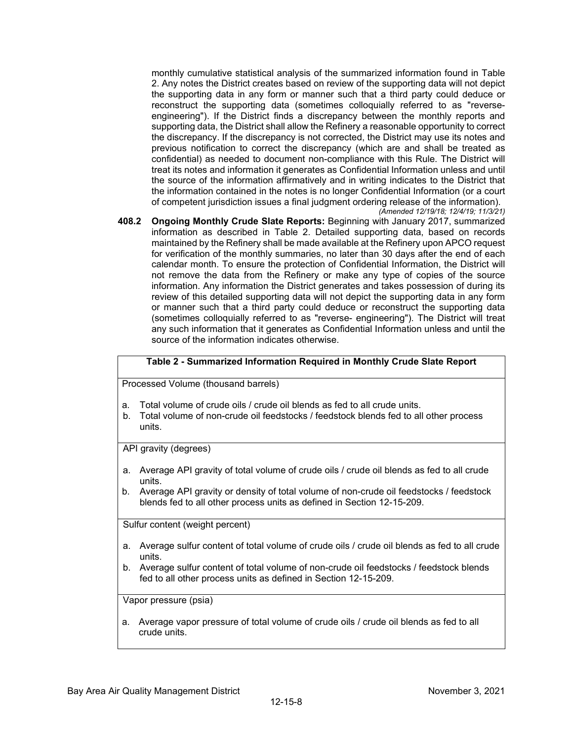monthly cumulative statistical analysis of the summarized information found in Table 2. Any notes the District creates based on review of the supporting data will not depict the supporting data in any form or manner such that a third party could deduce or reconstruct the supporting data (sometimes colloquially referred to as "reverseengineering"). If the District finds a discrepancy between the monthly reports and supporting data, the District shall allow the Refinery a reasonable opportunity to correct the discrepancy. If the discrepancy is not corrected, the District may use its notes and previous notification to correct the discrepancy (which are and shall be treated as confidential) as needed to document non-compliance with this Rule. The District will treat its notes and information it generates as Confidential Information unless and until the source of the information affirmatively and in writing indicates to the District that the information contained in the notes is no longer Confidential Information (or a court of competent jurisdiction issues a final judgment ordering release of the information). *(Amended 12/19/18; 12/4/19; 11/3/21)*

**408.2 Ongoing Monthly Crude Slate Reports:** Beginning with January 2017, summarized information as described in Table 2. Detailed supporting data, based on records maintained by the Refinery shall be made available at the Refinery upon APCO request for verification of the monthly summaries, no later than 30 days after the end of each calendar month. To ensure the protection of Confidential Information, the District will not remove the data from the Refinery or make any type of copies of the source information. Any information the District generates and takes possession of during its review of this detailed supporting data will not depict the supporting data in any form or manner such that a third party could deduce or reconstruct the supporting data (sometimes colloquially referred to as "reverse- engineering"). The District will treat any such information that it generates as Confidential Information unless and until the source of the information indicates otherwise.

## **Table 2 - Summarized Information Required in Monthly Crude Slate Report**

Processed Volume (thousand barrels)

- a. Total volume of crude oils / crude oil blends as fed to all crude units.
- b. Total volume of non-crude oil feedstocks / feedstock blends fed to all other process units.

API gravity (degrees)

- a. Average API gravity of total volume of crude oils / crude oil blends as fed to all crude units.
- b. Average API gravity or density of total volume of non-crude oil feedstocks / feedstock blends fed to all other process units as defined in Section 12-15-209.

Sulfur content (weight percent)

- a. Average sulfur content of total volume of crude oils / crude oil blends as fed to all crude units.
- b. Average sulfur content of total volume of non-crude oil feedstocks / feedstock blends fed to all other process units as defined in Section 12-15-209.

Vapor pressure (psia)

a. Average vapor pressure of total volume of crude oils / crude oil blends as fed to all crude units.